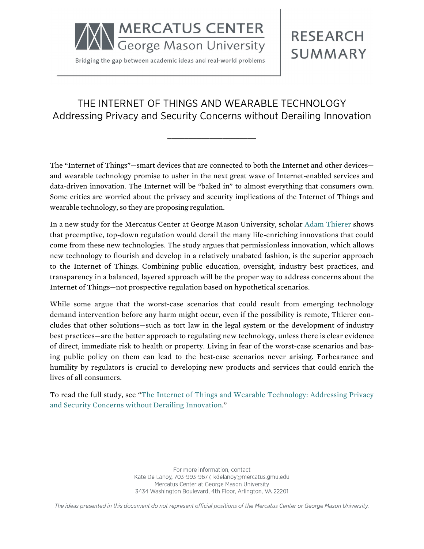

Bridging the gap between academic ideas and real-world problems

# **RESEARCH SUMMARY**

# THE INTERNET OF THINGS AND WEARABLE TECHNOLOGY Addressing Privacy and Security Concerns without Derailing Innovation

**\_\_\_\_\_\_\_\_\_\_\_\_\_\_\_\_\_\_\_\_\_**

The "Internet of Things"—smart devices that are connected to both the Internet and other devices and wearable technology promise to usher in the next great wave of Internet-enabled services and data-driven innovation. The Internet will be "baked in" to almost everything that consumers own. Some critics are worried about the privacy and security implications of the Internet of Things and wearable technology, so they are proposing regulation.

In a new study for the Mercatus Center at George Mason University, scholar [Adam Thierer](http://mercatus.org/adam-thierer) shows that preemptive, top-down regulation would derail the many life-enriching innovations that could come from these new technologies. The study argues that permissionless innovation, which allows new technology to flourish and develop in a relatively unabated fashion, is the superior approach to the Internet of Things. Combining public education, oversight, industry best practices, and transparency in a balanced, layered approach will be the proper way to address concerns about the Internet of Things—not prospective regulation based on hypothetical scenarios.

While some argue that the worst-case scenarios that could result from emerging technology demand intervention before any harm might occur, even if the possibility is remote, Thierer concludes that other solutions—such as tort law in the legal system or the development of industry best practices—are the better approach to regulating new technology, unless there is clear evidence of direct, immediate risk to health or property. Living in fear of the worst-case scenarios and basing public policy on them can lead to the best-case scenarios never arising. Forbearance and humility by regulators is crucial to developing new products and services that could enrich the lives of all consumers.

To read the full study, see ["The Internet of Things and Wearable Technology: Addressing Privacy](http://mercatus.org/publication/internet-things-and-wearable-technology-addressing-privacy-and-security-concerns-without) [and Security Concerns without Derailing Innovation.](http://mercatus.org/publication/internet-things-and-wearable-technology-addressing-privacy-and-security-concerns-without)"

> For more information, contact Kate De Lanoy, 703-993-9677, kdelanoy@mercatus.gmu.edu Mercatus Center at George Mason University 3434 Washington Boulevard, 4th Floor, Arlington, VA 22201

The ideas presented in this document do not represent official positions of the Mercatus Center or George Mason University.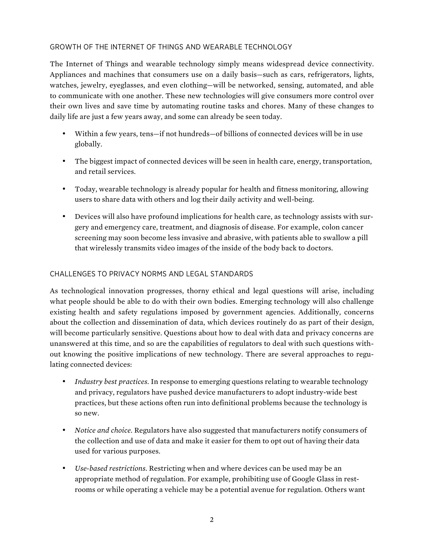#### GROWTH OF THE INTERNET OF THINGS AND WEARABLE TECHNOLOGY

The Internet of Things and wearable technology simply means widespread device connectivity. Appliances and machines that consumers use on a daily basis—such as cars, refrigerators, lights, watches, jewelry, eyeglasses, and even clothing—will be networked, sensing, automated, and able to communicate with one another. These new technologies will give consumers more control over their own lives and save time by automating routine tasks and chores. Many of these changes to daily life are just a few years away, and some can already be seen today.

- Within a few years, tens—if not hundreds—of billions of connected devices will be in use globally.
- The biggest impact of connected devices will be seen in health care, energy, transportation, and retail services.
- Today, wearable technology is already popular for health and fitness monitoring, allowing users to share data with others and log their daily activity and well-being.
- Devices will also have profound implications for health care, as technology assists with surgery and emergency care, treatment, and diagnosis of disease. For example, colon cancer screening may soon become less invasive and abrasive, with patients able to swallow a pill that wirelessly transmits video images of the inside of the body back to doctors.

#### CHALLENGES TO PRIVACY NORMS AND LEGAL STANDARDS

As technological innovation progresses, thorny ethical and legal questions will arise, including what people should be able to do with their own bodies. Emerging technology will also challenge existing health and safety regulations imposed by government agencies. Additionally, concerns about the collection and dissemination of data, which devices routinely do as part of their design, will become particularly sensitive. Questions about how to deal with data and privacy concerns are unanswered at this time, and so are the capabilities of regulators to deal with such questions without knowing the positive implications of new technology. There are several approaches to regulating connected devices:

- *Industry best practices.* In response to emerging questions relating to wearable technology and privacy, regulators have pushed device manufacturers to adopt industry-wide best practices, but these actions often run into definitional problems because the technology is so new.
- *Notice and choice.* Regulators have also suggested that manufacturers notify consumers of the collection and use of data and make it easier for them to opt out of having their data used for various purposes.
- *Use-based restrictions.* Restricting when and where devices can be used may be an appropriate method of regulation. For example, prohibiting use of Google Glass in restrooms or while operating a vehicle may be a potential avenue for regulation. Others want